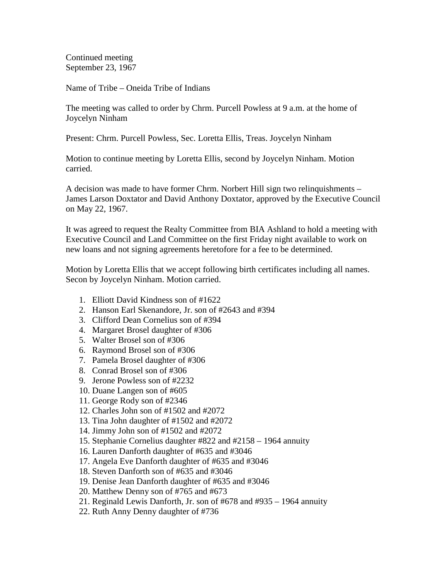Continued meeting September 23, 1967

Name of Tribe – Oneida Tribe of Indians

The meeting was called to order by Chrm. Purcell Powless at 9 a.m. at the home of Joycelyn Ninham

Present: Chrm. Purcell Powless, Sec. Loretta Ellis, Treas. Joycelyn Ninham

Motion to continue meeting by Loretta Ellis, second by Joycelyn Ninham. Motion carried.

A decision was made to have former Chrm. Norbert Hill sign two relinquishments – James Larson Doxtator and David Anthony Doxtator, approved by the Executive Council on May 22, 1967.

It was agreed to request the Realty Committee from BIA Ashland to hold a meeting with Executive Council and Land Committee on the first Friday night available to work on new loans and not signing agreements heretofore for a fee to be determined.

Motion by Loretta Ellis that we accept following birth certificates including all names. Secon by Joycelyn Ninham. Motion carried.

- 1. Elliott David Kindness son of #1622
- 2. Hanson Earl Skenandore, Jr. son of #2643 and #394
- 3. Clifford Dean Cornelius son of #394
- 4. Margaret Brosel daughter of #306
- 5. Walter Brosel son of #306
- 6. Raymond Brosel son of #306
- 7. Pamela Brosel daughter of #306
- 8. Conrad Brosel son of #306
- 9. Jerone Powless son of #2232
- 10. Duane Langen son of #605
- 11. George Rody son of #2346
- 12. Charles John son of #1502 and #2072
- 13. Tina John daughter of #1502 and #2072
- 14. Jimmy John son of #1502 and #2072
- 15. Stephanie Cornelius daughter #822 and #2158 1964 annuity
- 16. Lauren Danforth daughter of #635 and #3046
- 17. Angela Eve Danforth daughter of #635 and #3046
- 18. Steven Danforth son of #635 and #3046
- 19. Denise Jean Danforth daughter of #635 and #3046
- 20. Matthew Denny son of #765 and #673
- 21. Reginald Lewis Danforth, Jr. son of #678 and #935 1964 annuity
- 22. Ruth Anny Denny daughter of #736